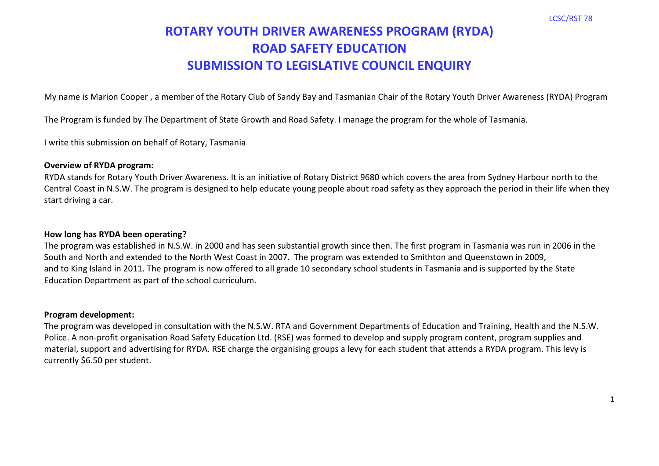# **ROTARY YOUTH DRIVER AWARENESS PROGRAM (RYDA) ROAD SAFETY EDUCATION SUBMISSION TO LEGISLATIVE COUNCIL ENQUIRY**

My name is Marion Cooper , a member of the Rotary Club of Sandy Bay and Tasmanian Chair of the Rotary Youth Driver Awareness (RYDA) Program

The Program is funded by The Department of State Growth and Road Safety. I manage the program for the whole of Tasmania.

I write this submission on behalf of Rotary, Tasmania

#### **Overview of RYDA program:**

RYDA stands for Rotary Youth Driver Awareness. It is an initiative of Rotary District 9680 which covers the area from Sydney Harbour north to the Central Coast in N.S.W. The program is designed to help educate young people about road safety as they approach the period in their life when they start driving a car.

#### **How long has RYDA been operating?**

The program was established in N.S.W. in 2000 and has seen substantial growth since then. The first program in Tasmania was run in 2006 in the South and North and extended to the North West Coast in 2007. The program was extended to Smithton and Queenstown in 2009, and to King Island in 2011. The program is now offered to all grade 10 secondary school students in Tasmania and is supported by the State Education Department as part of the school curriculum.

## **Program development:**

The program was developed in consultation with the N.S.W. RTA and Government Departments of Education and Training, Health and the N.S.W. Police. A non-profit organisation Road Safety Education Ltd. (RSE) was formed to develop and supply program content, program supplies and material, support and advertising for RYDA. RSE charge the organising groups a levy for each student that attends a RYDA program. This levy is currently \$6.50 per student.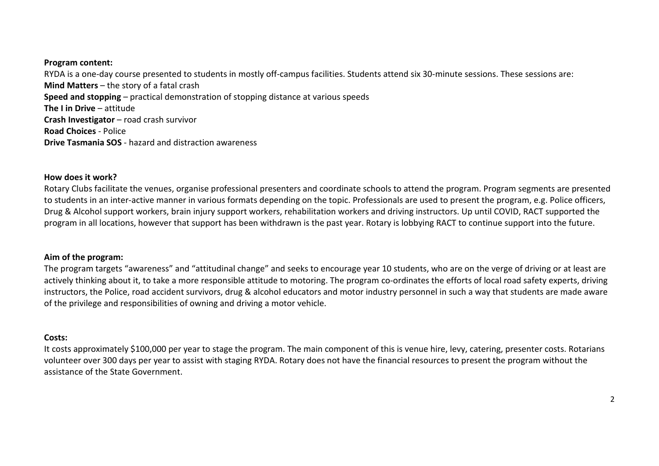#### **Program content:**

RYDA is a one-day course presented to students in mostly off-campus facilities. Students attend six 30-minute sessions. These sessions are: **Mind Matters** – the story of a fatal crash **Speed and stopping** – practical demonstration of stopping distance at various speeds **The I in Drive** – attitude **Crash Investigator** – road crash survivor **Road Choices** - Police **Drive Tasmania SOS** - hazard and distraction awareness

#### **How does it work?**

Rotary Clubs facilitate the venues, organise professional presenters and coordinate schools to attend the program. Program segments are presented to students in an inter-active manner in various formats depending on the topic. Professionals are used to present the program, e.g. Police officers, Drug & Alcohol support workers, brain injury support workers, rehabilitation workers and driving instructors. Up until COVID, RACT supported the program in all locations, however that support has been withdrawn is the past year. Rotary is lobbying RACT to continue support into the future.

#### **Aim of the program:**

The program targets "awareness" and "attitudinal change" and seeks to encourage year 10 students, who are on the verge of driving or at least are actively thinking about it, to take a more responsible attitude to motoring. The program co-ordinates the efforts of local road safety experts, driving instructors, the Police, road accident survivors, drug & alcohol educators and motor industry personnel in such a way that students are made aware of the privilege and responsibilities of owning and driving a motor vehicle.

#### **Costs:**

It costs approximately \$100,000 per year to stage the program. The main component of this is venue hire, levy, catering, presenter costs. Rotarians volunteer over 300 days per year to assist with staging RYDA. Rotary does not have the financial resources to present the program without the assistance of the State Government.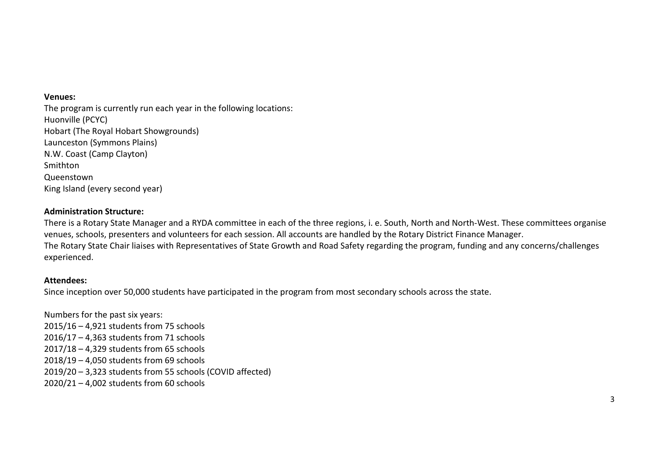#### **Venues:**

The program is currently run each year in the following locations: Huonville (PCYC) Hobart (The Royal Hobart Showgrounds) Launceston (Symmons Plains) N.W. Coast (Camp Clayton) Smithton Queenstown King Island (every second year)

## **Administration Structure:**

There is a Rotary State Manager and a RYDA committee in each of the three regions, i. e. South, North and North-West. These committees organise venues, schools, presenters and volunteers for each session. All accounts are handled by the Rotary District Finance Manager. The Rotary State Chair liaises with Representatives of State Growth and Road Safety regarding the program, funding and any concerns/challenges experienced.

#### **Attendees:**

Since inception over 50,000 students have participated in the program from most secondary schools across the state.

Numbers for the past six years: 2015/16 – 4,921 students from 75 schools 2016/17 – 4,363 students from 71 schools 2017/18 – 4,329 students from 65 schools 2018/19 – 4,050 students from 69 schools 2019/20 – 3,323 students from 55 schools (COVID affected) 2020/21 – 4,002 students from 60 schools